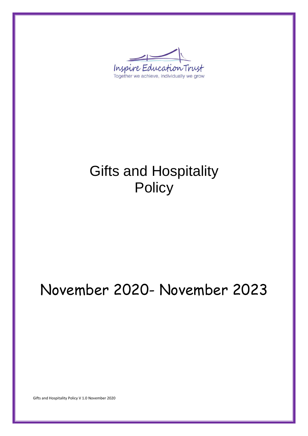Inspire Education Trust Together we achieve, individually we grow

# Gifts and Hospitality **Policy**

# November 2020- November 2023

Gifts and Hospitality Policy V 1.0 November 2020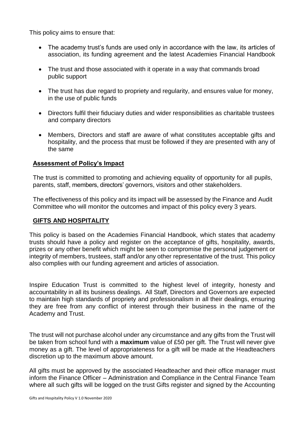This policy aims to ensure that:

- The academy trust's funds are used only in accordance with the law, its articles of association, its funding agreement and the latest Academies Financial Handbook
- The trust and those associated with it operate in a way that commands broad public support
- The trust has due regard to propriety and regularity, and ensures value for money, in the use of public funds
- Directors fulfil their fiduciary duties and wider responsibilities as charitable trustees and company directors
- Members, Directors and staff are aware of what constitutes acceptable gifts and hospitality, and the process that must be followed if they are presented with any of the same

# **Assessment of Policy's Impact**

The trust is committed to promoting and achieving equality of opportunity for all pupils, parents, staff, members, directors' governors, visitors and other stakeholders.

The effectiveness of this policy and its impact will be assessed by the Finance and Audit Committee who will monitor the outcomes and impact of this policy every 3 years.

#### **GIFTS AND HOSPITALITY**

This policy is based on the Academies Financial Handbook, which states that academy trusts should have a policy and register on the acceptance of gifts, hospitality, awards, prizes or any other benefit which might be seen to compromise the personal judgement or integrity of members, trustees, staff and/or any other representative of the trust. This policy also complies with our funding agreement and articles of association.

Inspire Education Trust is committed to the highest level of integrity, honesty and accountability in all its business dealings. All Staff, Directors and Governors are expected to maintain high standards of propriety and professionalism in all their dealings, ensuring they are free from any conflict of interest through their business in the name of the Academy and Trust.

The trust will not purchase alcohol under any circumstance and any gifts from the Trust will be taken from school fund with a **maximum** value of £50 per gift. The Trust will never give money as a gift. The level of appropriateness for a gift will be made at the Headteachers discretion up to the maximum above amount.

All gifts must be approved by the associated Headteacher and their office manager must inform the Finance Officer – Administration and Compliance in the Central Finance Team where all such gifts will be logged on the trust Gifts register and signed by the Accounting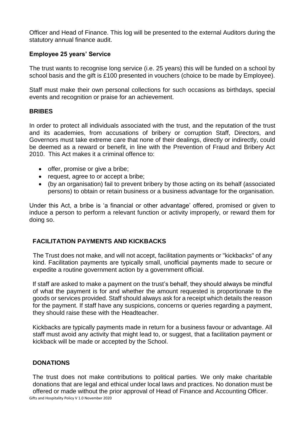Officer and Head of Finance. This log will be presented to the external Auditors during the statutory annual finance audit.

# **Employee 25 years' Service**

The trust wants to recognise long service (i.e. 25 years) this will be funded on a school by school basis and the gift is £100 presented in vouchers (choice to be made by Employee).

Staff must make their own personal collections for such occasions as birthdays, special events and recognition or praise for an achievement.

# **BRIBES**

In order to protect all individuals associated with the trust, and the reputation of the trust and its academies, from accusations of bribery or corruption Staff, Directors, and Governors must take extreme care that none of their dealings, directly or indirectly, could be deemed as a reward or benefit, in line with the Prevention of Fraud and Bribery Act 2010. This Act makes it a criminal offence to:

- offer, promise or give a bribe;
- request, agree to or accept a bribe;
- (by an organisation) fail to prevent bribery by those acting on its behalf (associated persons) to obtain or retain business or a business advantage for the organisation.

Under this Act, a bribe is 'a financial or other advantage' offered, promised or given to induce a person to perform a relevant function or activity improperly, or reward them for doing so.

# **FACILITATION PAYMENTS AND KICKBACKS**

The Trust does not make, and will not accept, facilitation payments or "kickbacks" of any kind. Facilitation payments are typically small, unofficial payments made to secure or expedite a routine government action by a government official.

If staff are asked to make a payment on the trust's behalf, they should always be mindful of what the payment is for and whether the amount requested is proportionate to the goods or services provided. Staff should always ask for a receipt which details the reason for the payment. If staff have any suspicions, concerns or queries regarding a payment, they should raise these with the Headteacher.

Kickbacks are typically payments made in return for a business favour or advantage. All staff must avoid any activity that might lead to, or suggest, that a facilitation payment or kickback will be made or accepted by the School.

#### **DONATIONS**

Gifts and Hospitality Policy V 1.0 November 2020 The trust does not make contributions to political parties. We only make charitable donations that are legal and ethical under local laws and practices. No donation must be offered or made without the prior approval of Head of Finance and Accounting Officer.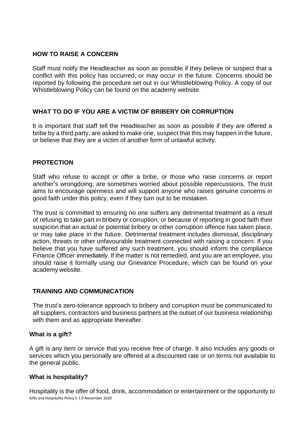### **HOW TO RAISE A CONCERN**

Staff must notify the Headteacher as soon as possible if they believe or suspect that a conflict with this policy has occurred, or may occur in the future. Concerns should be reported by following the procedure set out in our Whistleblowing Policy. A copy of our Whistleblowing Policy can be found on the academy website.

# **WHAT TO DO IF YOU ARE A VICTIM OF BRIBERY OR CORRUPTION**

It is important that staff tell the Headteacher as soon as possible if they are offered a bribe by a third party, are asked to make one, suspect that this may happen in the future, or believe that they are a victim of another form of unlawful activity.

# **PROTECTION**

Staff who refuse to accept or offer a bribe, or those who raise concerns or report another's wrongdoing, are sometimes worried about possible repercussions. The trust aims to encourage openness and will support anyone who raises genuine concerns in good faith under this policy, even if they turn out to be mistaken.

The trust is committed to ensuring no one suffers any detrimental treatment as a result of refusing to take part in bribery or corruption, or because of reporting in good faith their suspicion that an actual or potential bribery or other corruption offence has taken place, or may take place in the future. Detrimental treatment includes dismissal, disciplinary action, threats or other unfavourable treatment connected with raising a concern. If you believe that you have suffered any such treatment, you should inform the compliance Finance Officer immediately. If the matter is not remedied, and you are an employee, you should raise it formally using our Grievance Procedure, which can be found on your academy website.

#### **TRAINING AND COMMUNICATION**

The trust's zero-tolerance approach to bribery and corruption must be communicated to all suppliers, contractors and business partners at the outset of our business relationship with them and as appropriate thereafter.

#### **What is a gift?**

A gift is any item or service that you receive free of charge. It also includes any goods or services which you personally are offered at a discounted rate or on terms not available to the general public.

#### **What is hospitality?**

Gifts and Hospitality Policy V 1.0 November 2020 Hospitality is the offer of food, drink, accommodation or entertainment or the opportunity to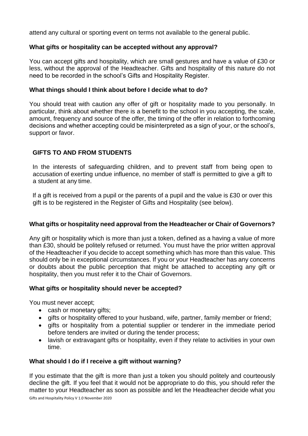attend any cultural or sporting event on terms not available to the general public.

# **What gifts or hospitality can be accepted without any approval?**

You can accept gifts and hospitality, which are small gestures and have a value of £30 or less, without the approval of the Headteacher. Gifts and hospitality of this nature do not need to be recorded in the school's Gifts and Hospitality Register.

#### **What things should I think about before I decide what to do?**

You should treat with caution any offer of gift or hospitality made to you personally. In particular, think about whether there is a benefit to the school in you accepting, the scale, amount, frequency and source of the offer, the timing of the offer in relation to forthcoming decisions and whether accepting could be misinterpreted as a sign of your, or the school's, support or favor.

# **GIFTS TO AND FROM STUDENTS**

In the interests of safeguarding children, and to prevent staff from being open to accusation of exerting undue influence, no member of staff is permitted to give a gift to a student at any time.

If a gift is received from a pupil or the parents of a pupil and the value is £30 or over this gift is to be registered in the Register of Gifts and Hospitality (see below).

#### **What gifts or hospitality need approval from the Headteacher or Chair of Governors?**

Any gift or hospitality which is more than just a token, defined as a having a value of more than £30, should be politely refused or returned. You must have the prior written approval of the Headteacher if you decide to accept something which has more than this value. This should only be in exceptional circumstances. If you or your Headteacher has any concerns or doubts about the public perception that might be attached to accepting any gift or hospitality, then you must refer it to the Chair of Governors.

#### **What gifts or hospitality should never be accepted?**

You must never accept;

- cash or monetary gifts;
- gifts or hospitality offered to your husband, wife, partner, family member or friend;
- gifts or hospitality from a potential supplier or tenderer in the immediate period before tenders are invited or during the tender process;
- lavish or extravagant gifts or hospitality, even if they relate to activities in your own time.

#### **What should I do if I receive a gift without warning?**

Gifts and Hospitality Policy V 1.0 November 2020 If you estimate that the gift is more than just a token you should politely and courteously decline the gift. If you feel that it would not be appropriate to do this, you should refer the matter to your Headteacher as soon as possible and let the Headteacher decide what you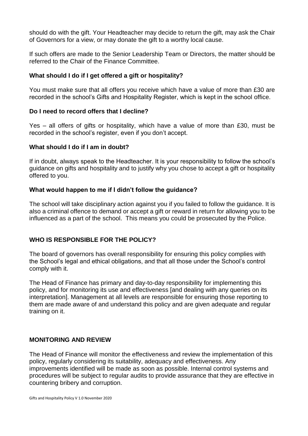should do with the gift. Your Headteacher may decide to return the gift, may ask the Chair of Governors for a view, or may donate the gift to a worthy local cause.

If such offers are made to the Senior Leadership Team or Directors, the matter should be referred to the Chair of the Finance Committee.

#### **What should I do if I get offered a gift or hospitality?**

You must make sure that all offers you receive which have a value of more than £30 are recorded in the school's Gifts and Hospitality Register, which is kept in the school office.

# **Do I need to record offers that I decline?**

Yes – all offers of gifts or hospitality, which have a value of more than £30, must be recorded in the school's register, even if you don't accept.

# **What should I do if I am in doubt?**

If in doubt, always speak to the Headteacher. It is your responsibility to follow the school's guidance on gifts and hospitality and to justify why you chose to accept a gift or hospitality offered to you.

# **What would happen to me if I didn't follow the guidance?**

The school will take disciplinary action against you if you failed to follow the guidance. It is also a criminal offence to demand or accept a gift or reward in return for allowing you to be influenced as a part of the school. This means you could be prosecuted by the Police.

# **WHO IS RESPONSIBLE FOR THE POLICY?**

The board of governors has overall responsibility for ensuring this policy complies with the School's legal and ethical obligations, and that all those under the School's control comply with it.

The Head of Finance has primary and day-to-day responsibility for implementing this policy, and for monitoring its use and effectiveness [and dealing with any queries on its interpretation]. Management at all levels are responsible for ensuring those reporting to them are made aware of and understand this policy and are given adequate and regular training on it.

#### **MONITORING AND REVIEW**

The Head of Finance will monitor the effectiveness and review the implementation of this policy, regularly considering its suitability, adequacy and effectiveness. Any improvements identified will be made as soon as possible. Internal control systems and procedures will be subject to regular audits to provide assurance that they are effective in countering bribery and corruption.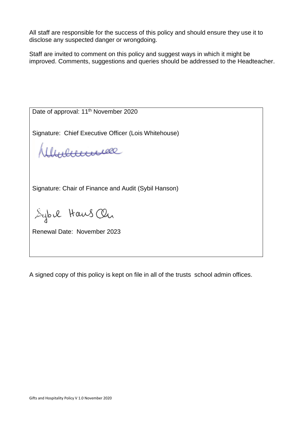All staff are responsible for the success of this policy and should ensure they use it to disclose any suspected danger or wrongdoing.

Staff are invited to comment on this policy and suggest ways in which it might be improved. Comments, suggestions and queries should be addressed to the Headteacher.

| Date of approval: 11 <sup>th</sup> November 2020     |  |  |  |  |  |
|------------------------------------------------------|--|--|--|--|--|
| Signature: Chief Executive Officer (Lois Whitehouse) |  |  |  |  |  |
| Herrelle                                             |  |  |  |  |  |
| Signature: Chair of Finance and Audit (Sybil Hanson) |  |  |  |  |  |
| Sybil Haws On                                        |  |  |  |  |  |
| Renewal Date: November 2023                          |  |  |  |  |  |

A signed copy of this policy is kept on file in all of the trusts school admin offices.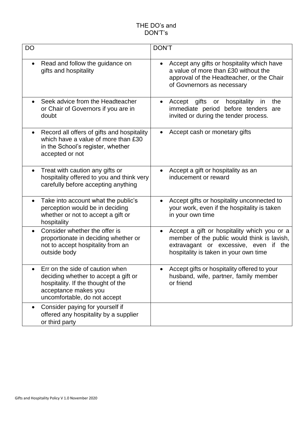| <b>DO</b>                                                                                                                                                             | <b>DON'T</b>                                                                                                                                                                                 |
|-----------------------------------------------------------------------------------------------------------------------------------------------------------------------|----------------------------------------------------------------------------------------------------------------------------------------------------------------------------------------------|
| Read and follow the guidance on<br>$\bullet$<br>gifts and hospitality                                                                                                 | Accept any gifts or hospitality which have<br>$\bullet$<br>a value of more than £30 without the<br>approval of the Headteacher, or the Chair<br>of Govnernors as necessary                   |
| Seek advice from the Headteacher<br>or Chair of Governors if you are in<br>doubt                                                                                      | Accept gifts<br>the<br>hospitality<br>or<br>in<br>$\bullet$<br>immediate period before tenders are<br>invited or during the tender process.                                                  |
| Record all offers of gifts and hospitality<br>which have a value of more than £30<br>in the School's register, whether<br>accepted or not                             | Accept cash or monetary gifts                                                                                                                                                                |
| Treat with caution any gifts or<br>$\bullet$<br>hospitality offered to you and think very<br>carefully before accepting anything                                      | Accept a gift or hospitality as an<br>$\bullet$<br>inducement or reward                                                                                                                      |
| Take into account what the public's<br>perception would be in deciding<br>whether or not to accept a gift or<br>hospitality                                           | Accept gifts or hospitality unconnected to<br>$\bullet$<br>your work, even if the hospitality is taken<br>in your own time                                                                   |
| Consider whether the offer is<br>$\bullet$<br>proportionate in deciding whether or<br>not to accept hospitality from an<br>outside body                               | Accept a gift or hospitality which you or a<br>$\bullet$<br>member of the public would think is lavish,<br>extravagant or excessive, even<br>if the<br>hospitality is taken in your own time |
| Err on the side of caution when<br>deciding whether to accept a gift or<br>hospitality. If the thought of the<br>acceptance makes you<br>uncomfortable, do not accept | Accept gifts or hospitality offered to your<br>husband, wife, partner, family member<br>or friend                                                                                            |
| Consider paying for yourself if<br>$\bullet$<br>offered any hospitality by a supplier<br>or third party                                                               |                                                                                                                                                                                              |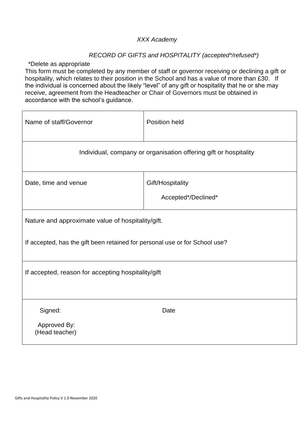# *XXX Academy*

# *RECORD OF GIFTS and HOSPITALITY (accepted\*/refused\*)*

\*Delete as appropriate

This form must be completed by any member of staff or governor receiving or declining a gift or hospitality, which relates to their position in the School and has a value of more than £30. If the individual is concerned about the likely "level" of any gift or hospitality that he or she may receive, agreement from the Headteacher or Chair of Governors must be obtained in accordance with the school's guidance.

| Name of staff/Governor                                                      | Position held                           |  |  |  |
|-----------------------------------------------------------------------------|-----------------------------------------|--|--|--|
| Individual, company or organisation offering gift or hospitality            |                                         |  |  |  |
| Date, time and venue                                                        | Gift/Hospitality<br>Accepted*/Declined* |  |  |  |
| Nature and approximate value of hospitality/gift.                           |                                         |  |  |  |
| If accepted, has the gift been retained for personal use or for School use? |                                         |  |  |  |
| If accepted, reason for accepting hospitality/gift                          |                                         |  |  |  |
| Signed:<br>Approved By:<br>(Head teacher)                                   | Date                                    |  |  |  |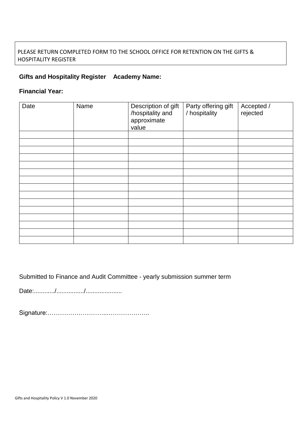# PLEASE RETURN COMPLETED FORM TO THE SCHOOL OFFICE FOR RETENTION ON THE GIFTS & HOSPITALITY REGISTER

# **Gifts and Hospitality Register Academy Name:**

# **Financial Year:**

| Date | Name | Description of gift<br>/hospitality and<br>approximate<br>value | Party offering gift<br>/ hospitality | Accepted /<br>rejected |
|------|------|-----------------------------------------------------------------|--------------------------------------|------------------------|
|      |      |                                                                 |                                      |                        |
|      |      |                                                                 |                                      |                        |
|      |      |                                                                 |                                      |                        |
|      |      |                                                                 |                                      |                        |
|      |      |                                                                 |                                      |                        |
|      |      |                                                                 |                                      |                        |
|      |      |                                                                 |                                      |                        |
|      |      |                                                                 |                                      |                        |
|      |      |                                                                 |                                      |                        |
|      |      |                                                                 |                                      |                        |
|      |      |                                                                 |                                      |                        |
|      |      |                                                                 |                                      |                        |
|      |      |                                                                 |                                      |                        |
|      |      |                                                                 |                                      |                        |
|      |      |                                                                 |                                      |                        |

Submitted to Finance and Audit Committee - yearly submission summer term

Date:............/................/.....................

Signature:………………………...………………..